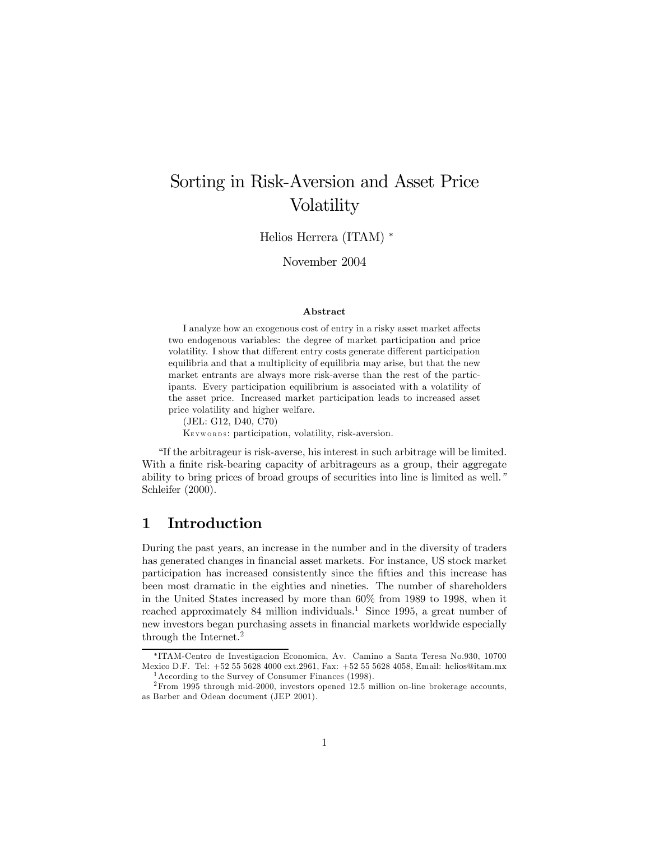# Sorting in Risk-Aversion and Asset Price **Volatility**

Helios Herrera (ITAM) <sup>∗</sup>

November 2004

#### Abstract

I analyze how an exogenous cost of entry in a risky asset market affects two endogenous variables: the degree of market participation and price volatility. I show that different entry costs generate different participation equilibria and that a multiplicity of equilibria may arise, but that the new market entrants are always more risk-averse than the rest of the participants. Every participation equilibrium is associated with a volatility of the asset price. Increased market participation leads to increased asset price volatility and higher welfare.

```
(JEL: G12, D40, C70)
```
KEYWORDS : participation, volatility, risk-aversion.

"If the arbitrageur is risk-averse, his interest in such arbitrage will be limited. With a finite risk-bearing capacity of arbitrageurs as a group, their aggregate ability to bring prices of broad groups of securities into line is limited as well." Schleifer (2000).

### 1 Introduction

During the past years, an increase in the number and in the diversity of traders has generated changes in financial asset markets. For instance, US stock market participation has increased consistently since the fifties and this increase has been most dramatic in the eighties and nineties. The number of shareholders in the United States increased by more than 60% from 1989 to 1998, when it reached approximately 84 million individuals.<sup>1</sup> Since 1995, a great number of new investors began purchasing assets in financial markets worldwide especially through the Internet.<sup>2</sup>

<sup>∗</sup>ITAM-Centro de Investigacion Economica, Av. Camino a Santa Teresa No.930, 10700 Mexico D.F. Tel: +52 55 5628 4000 ext.2961, Fax: +52 55 5628 4058, Email: helios@itam.mx  $1$ According to the Survey of Consumer Finances (1998).

<sup>2</sup>From 1995 through mid-2000, investors opened 12.5 million on-line brokerage accounts, as Barber and Odean document (JEP 2001).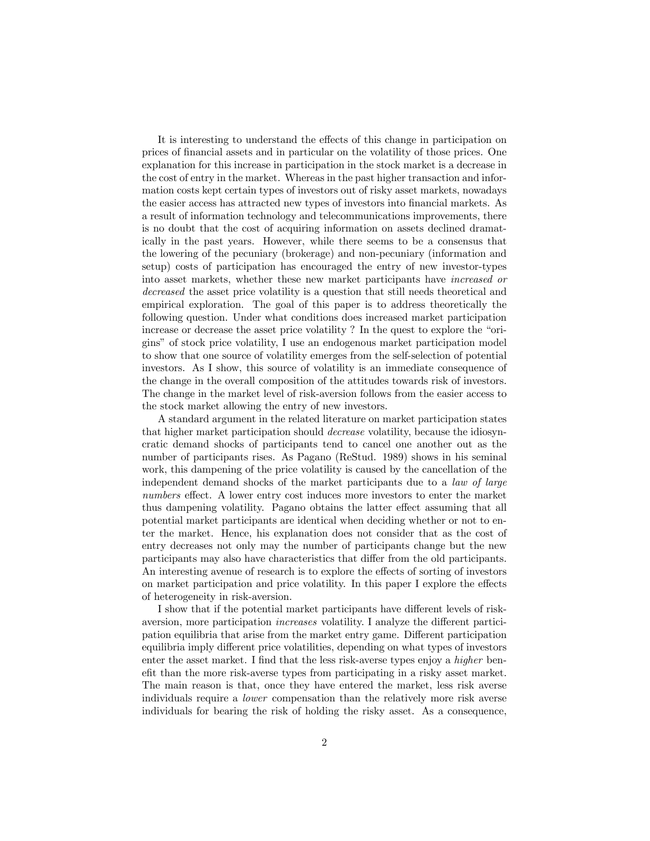It is interesting to understand the effects of this change in participation on prices of financial assets and in particular on the volatility of those prices. One explanation for this increase in participation in the stock market is a decrease in the cost of entry in the market. Whereas in the past higher transaction and information costs kept certain types of investors out of risky asset markets, nowadays the easier access has attracted new types of investors into financial markets. As a result of information technology and telecommunications improvements, there is no doubt that the cost of acquiring information on assets declined dramatically in the past years. However, while there seems to be a consensus that the lowering of the pecuniary (brokerage) and non-pecuniary (information and setup) costs of participation has encouraged the entry of new investor-types into asset markets, whether these new market participants have increased or decreased the asset price volatility is a question that still needs theoretical and empirical exploration. The goal of this paper is to address theoretically the following question. Under what conditions does increased market participation increase or decrease the asset price volatility ? In the quest to explore the "origins" of stock price volatility, I use an endogenous market participation model to show that one source of volatility emerges from the self-selection of potential investors. As I show, this source of volatility is an immediate consequence of the change in the overall composition of the attitudes towards risk of investors. The change in the market level of risk-aversion follows from the easier access to the stock market allowing the entry of new investors.

A standard argument in the related literature on market participation states that higher market participation should decrease volatility, because the idiosyncratic demand shocks of participants tend to cancel one another out as the number of participants rises. As Pagano (ReStud. 1989) shows in his seminal work, this dampening of the price volatility is caused by the cancellation of the independent demand shocks of the market participants due to a law of large numbers effect. A lower entry cost induces more investors to enter the market thus dampening volatility. Pagano obtains the latter effect assuming that all potential market participants are identical when deciding whether or not to enter the market. Hence, his explanation does not consider that as the cost of entry decreases not only may the number of participants change but the new participants may also have characteristics that differ from the old participants. An interesting avenue of research is to explore the effects of sorting of investors on market participation and price volatility. In this paper I explore the effects of heterogeneity in risk-aversion.

I show that if the potential market participants have different levels of riskaversion, more participation increases volatility. I analyze the different participation equilibria that arise from the market entry game. Different participation equilibria imply different price volatilities, depending on what types of investors enter the asset market. I find that the less risk-averse types enjoy a higher benefit than the more risk-averse types from participating in a risky asset market. The main reason is that, once they have entered the market, less risk averse individuals require a lower compensation than the relatively more risk averse individuals for bearing the risk of holding the risky asset. As a consequence,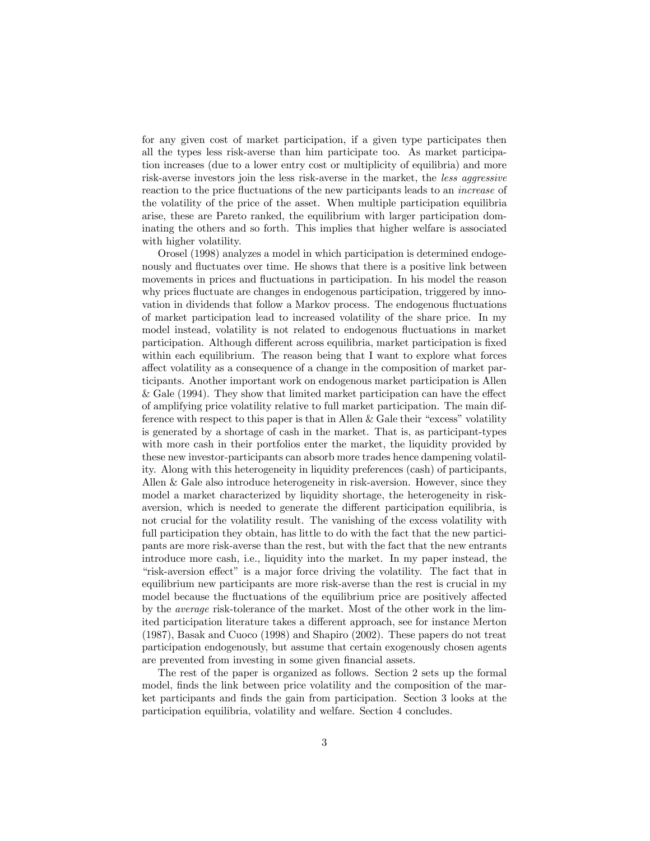for any given cost of market participation, if a given type participates then all the types less risk-averse than him participate too. As market participation increases (due to a lower entry cost or multiplicity of equilibria) and more risk-averse investors join the less risk-averse in the market, the less aggressive reaction to the price fluctuations of the new participants leads to an increase of the volatility of the price of the asset. When multiple participation equilibria arise, these are Pareto ranked, the equilibrium with larger participation dominating the others and so forth. This implies that higher welfare is associated with higher volatility.

Orosel (1998) analyzes a model in which participation is determined endogenously and fluctuates over time. He shows that there is a positive link between movements in prices and fluctuations in participation. In his model the reason why prices fluctuate are changes in endogenous participation, triggered by innovation in dividends that follow a Markov process. The endogenous fluctuations of market participation lead to increased volatility of the share price. In my model instead, volatility is not related to endogenous fluctuations in market participation. Although different across equilibria, market participation is fixed within each equilibrium. The reason being that I want to explore what forces affect volatility as a consequence of a change in the composition of market participants. Another important work on endogenous market participation is Allen & Gale (1994). They show that limited market participation can have the effect of amplifying price volatility relative to full market participation. The main difference with respect to this paper is that in Allen & Gale their "excess" volatility is generated by a shortage of cash in the market. That is, as participant-types with more cash in their portfolios enter the market, the liquidity provided by these new investor-participants can absorb more trades hence dampening volatility. Along with this heterogeneity in liquidity preferences (cash) of participants, Allen & Gale also introduce heterogeneity in risk-aversion. However, since they model a market characterized by liquidity shortage, the heterogeneity in riskaversion, which is needed to generate the different participation equilibria, is not crucial for the volatility result. The vanishing of the excess volatility with full participation they obtain, has little to do with the fact that the new participants are more risk-averse than the rest, but with the fact that the new entrants introduce more cash, i.e., liquidity into the market. In my paper instead, the "risk-aversion effect" is a major force driving the volatility. The fact that in equilibrium new participants are more risk-averse than the rest is crucial in my model because the fluctuations of the equilibrium price are positively affected by the average risk-tolerance of the market. Most of the other work in the limited participation literature takes a different approach, see for instance Merton (1987), Basak and Cuoco (1998) and Shapiro (2002). These papers do not treat participation endogenously, but assume that certain exogenously chosen agents are prevented from investing in some given financial assets.

The rest of the paper is organized as follows. Section 2 sets up the formal model, finds the link between price volatility and the composition of the market participants and finds the gain from participation. Section 3 looks at the participation equilibria, volatility and welfare. Section 4 concludes.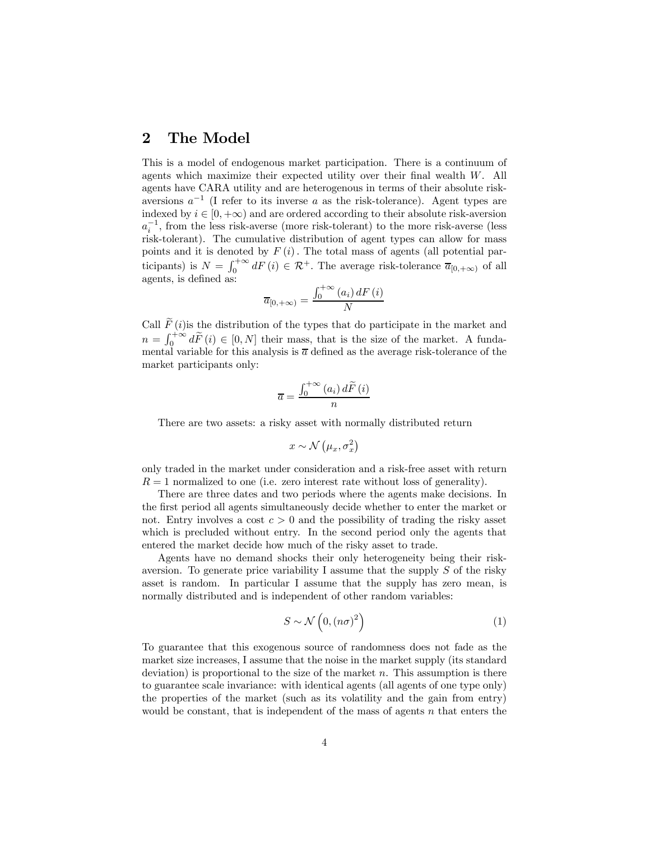### 2 The Model

This is a model of endogenous market participation. There is a continuum of agents which maximize their expected utility over their final wealth W. All agents have CARA utility and are heterogenous in terms of their absolute riskaversions  $a^{-1}$  (I refer to its inverse a as the risk-tolerance). Agent types are indexed by  $i \in [0, +\infty)$  and are ordered according to their absolute risk-aversion  $a_i^{-1}$ , from the less risk-averse (more risk-tolerant) to the more risk-averse (less risk-tolerant). The cumulative distribution of agent types can allow for mass points and it is denoted by  $F(i)$ . The total mass of agents (all potential participants) is  $N = \int_0^{+\infty} dF(i) \in \mathcal{R}^+$ . The average risk-tolerance  $\overline{a}_{[0,+\infty)}$  of all agents, is defined as:

$$
\overline{a}_{[0,+\infty)} = \frac{\int_0^{+\infty} (a_i) dF(i)}{N}
$$

Call  $\widetilde{F}(i)$  is the distribution of the types that do participate in the market and  $n = \int_0^{+\infty} d\tilde{F}(i) \in [0, N]$  their mass, that is the size of the market. A fundamental variable for this analysis is  $\bar{a}$  defined as the average risk-tolerance of the market participants only:

$$
\overline{a} = \frac{\int_0^{+\infty} (a_i) d\widetilde{F}(i)}{n}
$$

There are two assets: a risky asset with normally distributed return

$$
x \sim \mathcal{N}\left(\mu_x, \sigma_x^2\right)
$$

only traded in the market under consideration and a risk-free asset with return  $R = 1$  normalized to one (i.e. zero interest rate without loss of generality).

There are three dates and two periods where the agents make decisions. In the first period all agents simultaneously decide whether to enter the market or not. Entry involves a cost  $c > 0$  and the possibility of trading the risky asset which is precluded without entry. In the second period only the agents that entered the market decide how much of the risky asset to trade.

Agents have no demand shocks their only heterogeneity being their riskaversion. To generate price variability I assume that the supply  $S$  of the risky asset is random. In particular I assume that the supply has zero mean, is normally distributed and is independent of other random variables:

$$
S \sim \mathcal{N}\left(0, (n\sigma)^2\right) \tag{1}
$$

To guarantee that this exogenous source of randomness does not fade as the market size increases, I assume that the noise in the market supply (its standard deviation) is proportional to the size of the market  $n$ . This assumption is there to guarantee scale invariance: with identical agents (all agents of one type only) the properties of the market (such as its volatility and the gain from entry) would be constant, that is independent of the mass of agents  $n$  that enters the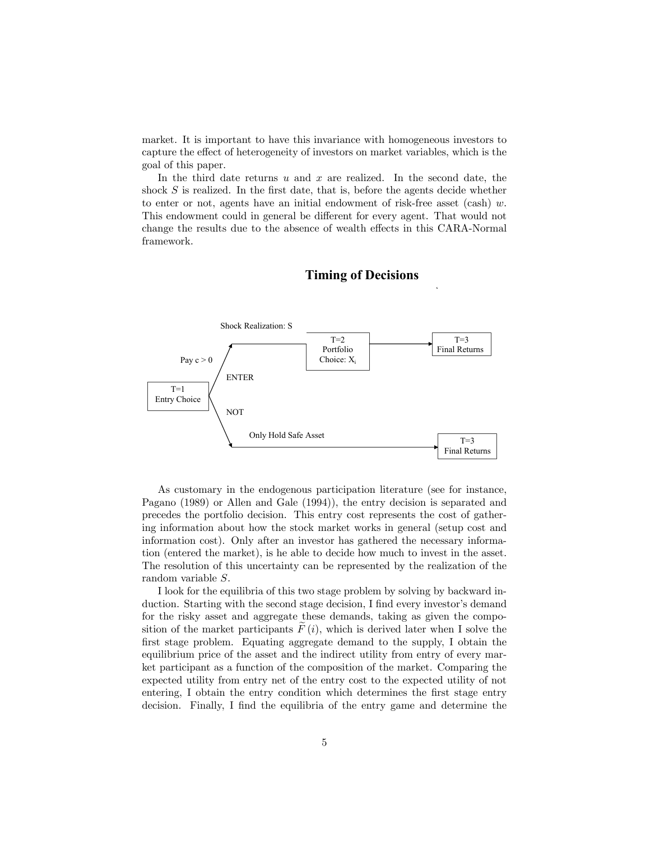market. It is important to have this invariance with homogeneous investors to capture the effect of heterogeneity of investors on market variables, which is the goal of this paper.

In the third date returns  $u$  and  $x$  are realized. In the second date, the shock  $S$  is realized. In the first date, that is, before the agents decide whether to enter or not, agents have an initial endowment of risk-free asset  $(cash) w$ . This endowment could in general be different for every agent. That would not change the results due to the absence of wealth effects in this CARA-Normal framework.

### **Timing of Decisions**

s



As customary in the endogenous participation literature (see for instance, Pagano (1989) or Allen and Gale (1994)), the entry decision is separated and precedes the portfolio decision. This entry cost represents the cost of gathering information about how the stock market works in general (setup cost and information cost). Only after an investor has gathered the necessary information (entered the market), is he able to decide how much to invest in the asset. The resolution of this uncertainty can be represented by the realization of the random variable S.

I look for the equilibria of this two stage problem by solving by backward induction. Starting with the second stage decision, I find every investor's demand for the risky asset and aggregate these demands, taking as given the composition of the market participants  $F(i)$ , which is derived later when I solve the first stage problem. Equating aggregate demand to the supply, I obtain the equilibrium price of the asset and the indirect utility from entry of every market participant as a function of the composition of the market. Comparing the expected utility from entry net of the entry cost to the expected utility of not entering, I obtain the entry condition which determines the first stage entry decision. Finally, I find the equilibria of the entry game and determine the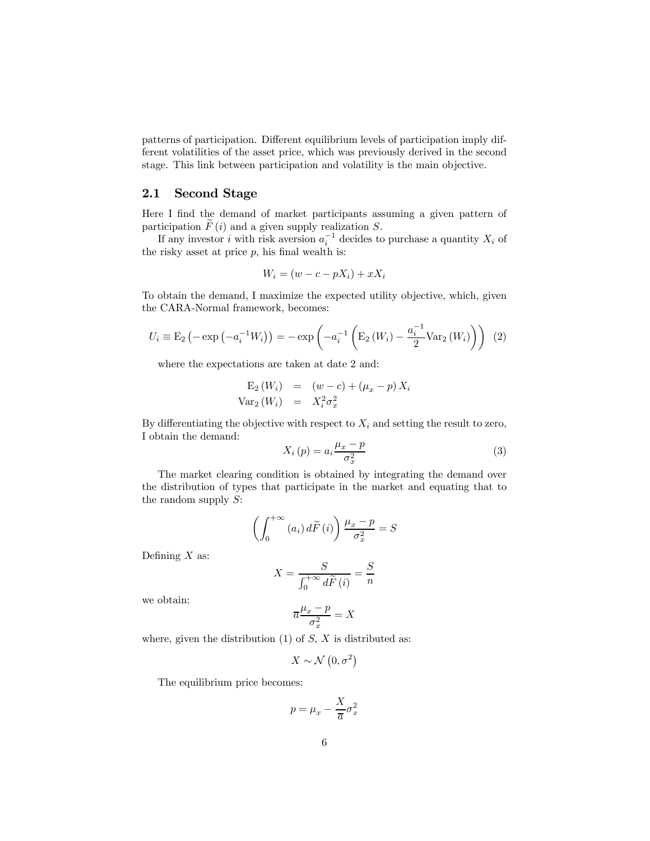patterns of participation. Different equilibrium levels of participation imply different volatilities of the asset price, which was previously derived in the second stage. This link between participation and volatility is the main objective.

#### 2.1 Second Stage

Here I find the demand of market participants assuming a given pattern of participation  $\tilde{F}(i)$  and a given supply realization S.

If any investor *i* with risk aversion  $a_i^{-1}$  decides to purchase a quantity  $X_i$  of the risky asset at price  $p$ , his final wealth is:

$$
W_i = (w - c - pX_i) + xX_i
$$

To obtain the demand, I maximize the expected utility objective, which, given the CARA-Normal framework, becomes:

$$
U_i = \mathcal{E}_2 \left( -\exp\left( -a_i^{-1} W_i \right) \right) = -\exp\left( -a_i^{-1} \left( \mathcal{E}_2 \left( W_i \right) - \frac{a_i^{-1}}{2} \text{Var}_2 \left( W_i \right) \right) \right) (2)
$$

where the expectations are taken at date 2 and:

$$
\begin{array}{rcl}\n\mathbf{E}_2\left(W_i\right) & = & \left(w-c\right) + \left(\mu_x - p\right)X_i \\
\mathbf{Var}_2\left(W_i\right) & = & X_i^2 \sigma_x^2\n\end{array}
$$

By differentiating the objective with respect to  $X_i$  and setting the result to zero, I obtain the demand:

$$
X_i(p) = a_i \frac{\mu_x - p}{\sigma_x^2} \tag{3}
$$

The market clearing condition is obtained by integrating the demand over the distribution of types that participate in the market and equating that to the random supply  $S$ :

$$
\left(\int_0^{+\infty} (a_i) d\widetilde{F}(i)\right) \frac{\mu_x - p}{\sigma_x^2} = S
$$

Defining  $X$  as:

$$
X = \frac{S}{\int_0^{+\infty} d\widetilde{F}(i)} = \frac{S}{n}
$$

we obtain:

$$
\overline{a}\frac{\mu_x-p}{\sigma_x^2}=X
$$

where, given the distribution  $(1)$  of  $S$ ,  $X$  is distributed as:

$$
X\sim\mathcal{N}\left(0,\sigma^{2}\right)
$$

The equilibrium price becomes:

$$
p=\mu_x-\frac{X}{\overline{a}}\sigma_x^2
$$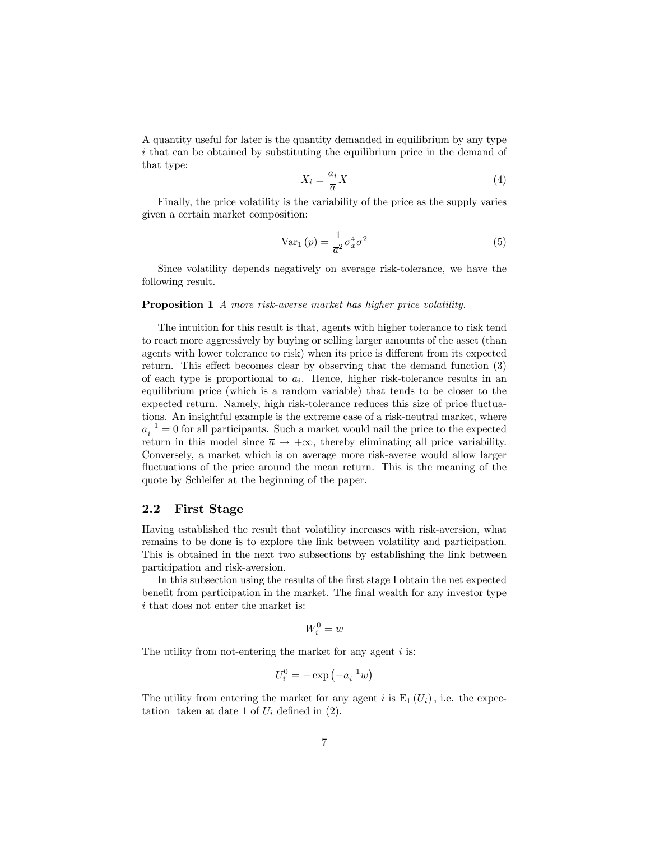A quantity useful for later is the quantity demanded in equilibrium by any type i that can be obtained by substituting the equilibrium price in the demand of that type:

$$
X_i = \frac{a_i}{\overline{a}} X \tag{4}
$$

Finally, the price volatility is the variability of the price as the supply varies given a certain market composition:

$$
\text{Var}_1\left(p\right) = \frac{1}{\overline{a}^2} \sigma_x^4 \sigma^2 \tag{5}
$$

Since volatility depends negatively on average risk-tolerance, we have the following result.

#### **Proposition 1** A more risk-averse market has higher price volatility.

The intuition for this result is that, agents with higher tolerance to risk tend to react more aggressively by buying or selling larger amounts of the asset (than agents with lower tolerance to risk) when its price is different from its expected return. This effect becomes clear by observing that the demand function (3) of each type is proportional to  $a_i$ . Hence, higher risk-tolerance results in an equilibrium price (which is a random variable) that tends to be closer to the expected return. Namely, high risk-tolerance reduces this size of price fluctuations. An insightful example is the extreme case of a risk-neutral market, where  $a_i^{-1} = 0$  for all participants. Such a market would nail the price to the expected return in this model since  $\bar{a} \rightarrow +\infty$ , thereby eliminating all price variability. Conversely, a market which is on average more risk-averse would allow larger fluctuations of the price around the mean return. This is the meaning of the quote by Schleifer at the beginning of the paper.

#### 2.2 First Stage

Having established the result that volatility increases with risk-aversion, what remains to be done is to explore the link between volatility and participation. This is obtained in the next two subsections by establishing the link between participation and risk-aversion.

In this subsection using the results of the first stage I obtain the net expected benefit from participation in the market. The final wealth for any investor type i that does not enter the market is:

$$
W_i^0 = w
$$

The utility from not-entering the market for any agent  $i$  is:

$$
U_i^0 = -\exp\left(-a_i^{-1}w\right)
$$

The utility from entering the market for any agent i is  $E_1(U_i)$ , i.e. the expectation taken at date 1 of  $U_i$  defined in (2).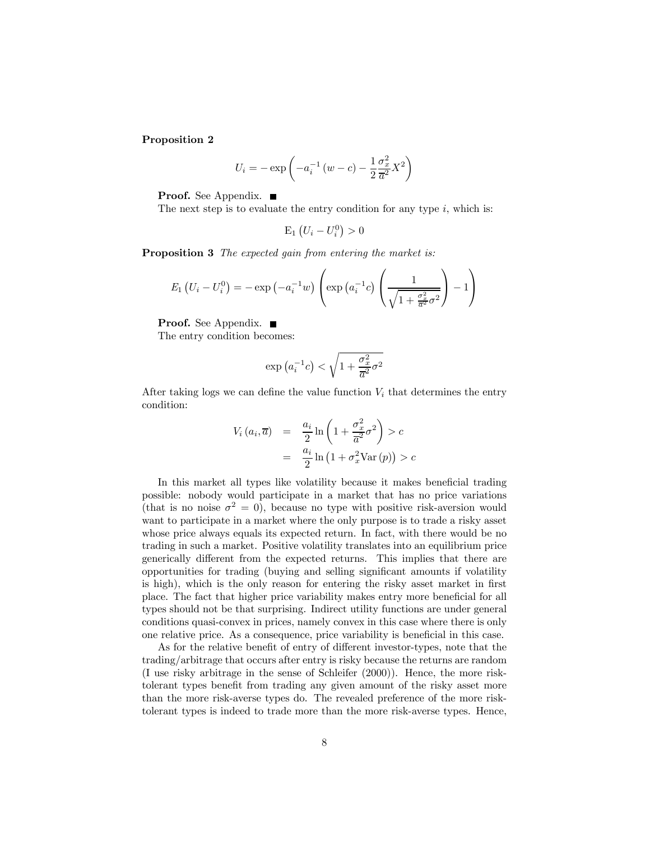Proposition 2

$$
U_i = -\exp\left(-a_i^{-1}(w-c) - \frac{1}{2}\frac{\sigma_x^2}{\overline{a}^2}X^2\right)
$$

**Proof.** See Appendix. ■

The next step is to evaluate the entry condition for any type  $i$ , which is:

$$
\mathrm{E}_1\left(U_i-U_i^0\right)>0
$$

Proposition 3 The expected gain from entering the market is:

$$
E_1 (U_i - U_i^0) = - \exp(-a_i^{-1}w) \left( \exp(a_i^{-1}c) \left( \frac{1}{\sqrt{1 + \frac{\sigma_x^2}{\bar{a}^2} \sigma^2}} \right) - 1 \right)
$$

 $\mathcal{L}$ 

Proof. See Appendix. ■

The entry condition becomes:

$$
\exp\left(a_i^{-1}c\right) < \sqrt{1 + \frac{\sigma_x^2}{\overline{a}^2}\sigma^2}
$$

After taking logs we can define the value function  $V_i$  that determines the entry condition:

$$
V_i(a_i, \overline{a}) = \frac{a_i}{2} \ln \left( 1 + \frac{\sigma_x^2}{\overline{a}^2} \sigma^2 \right) > c
$$

$$
= \frac{a_i}{2} \ln \left( 1 + \sigma_x^2 \text{Var}(p) \right) > c
$$

In this market all types like volatility because it makes beneficial trading possible: nobody would participate in a market that has no price variations (that is no noise  $\sigma^2 = 0$ ), because no type with positive risk-aversion would want to participate in a market where the only purpose is to trade a risky asset whose price always equals its expected return. In fact, with there would be no trading in such a market. Positive volatility translates into an equilibrium price generically different from the expected returns. This implies that there are opportunities for trading (buying and selling significant amounts if volatility is high), which is the only reason for entering the risky asset market in first place. The fact that higher price variability makes entry more beneficial for all types should not be that surprising. Indirect utility functions are under general conditions quasi-convex in prices, namely convex in this case where there is only one relative price. As a consequence, price variability is beneficial in this case.

As for the relative benefit of entry of different investor-types, note that the trading/arbitrage that occurs after entry is risky because the returns are random (I use risky arbitrage in the sense of Schleifer (2000)). Hence, the more risktolerant types benefit from trading any given amount of the risky asset more than the more risk-averse types do. The revealed preference of the more risktolerant types is indeed to trade more than the more risk-averse types. Hence,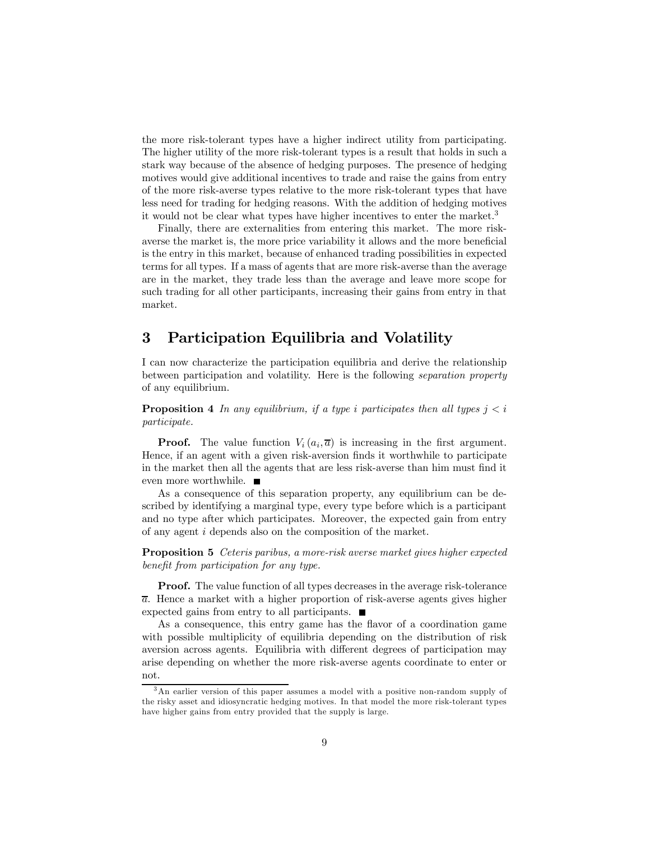the more risk-tolerant types have a higher indirect utility from participating. The higher utility of the more risk-tolerant types is a result that holds in such a stark way because of the absence of hedging purposes. The presence of hedging motives would give additional incentives to trade and raise the gains from entry of the more risk-averse types relative to the more risk-tolerant types that have less need for trading for hedging reasons. With the addition of hedging motives it would not be clear what types have higher incentives to enter the market.<sup>3</sup>

Finally, there are externalities from entering this market. The more riskaverse the market is, the more price variability it allows and the more beneficial is the entry in this market, because of enhanced trading possibilities in expected terms for all types. If a mass of agents that are more risk-averse than the average are in the market, they trade less than the average and leave more scope for such trading for all other participants, increasing their gains from entry in that market.

### 3 Participation Equilibria and Volatility

I can now characterize the participation equilibria and derive the relationship between participation and volatility. Here is the following separation property of any equilibrium.

**Proposition 4** In any equilibrium, if a type i participates then all types  $j < i$ participate.

**Proof.** The value function  $V_i(a_i, \overline{a})$  is increasing in the first argument. Hence, if an agent with a given risk-aversion finds it worthwhile to participate in the market then all the agents that are less risk-averse than him must find it even more worthwhile.

As a consequence of this separation property, any equilibrium can be described by identifying a marginal type, every type before which is a participant and no type after which participates. Moreover, the expected gain from entry of any agent i depends also on the composition of the market.

Proposition 5 Ceteris paribus, a more-risk averse market gives higher expected benefit from participation for any type.

Proof. The value function of all types decreases in the average risk-tolerance  $\overline{a}$ . Hence a market with a higher proportion of risk-averse agents gives higher expected gains from entry to all participants.  $\blacksquare$ 

As a consequence, this entry game has the flavor of a coordination game with possible multiplicity of equilibria depending on the distribution of risk aversion across agents. Equilibria with different degrees of participation may arise depending on whether the more risk-averse agents coordinate to enter or not.

<sup>&</sup>lt;sup>3</sup>An earlier version of this paper assumes a model with a positive non-random supply of the risky asset and idiosyncratic hedging motives. In that model the more risk-tolerant types have higher gains from entry provided that the supply is large.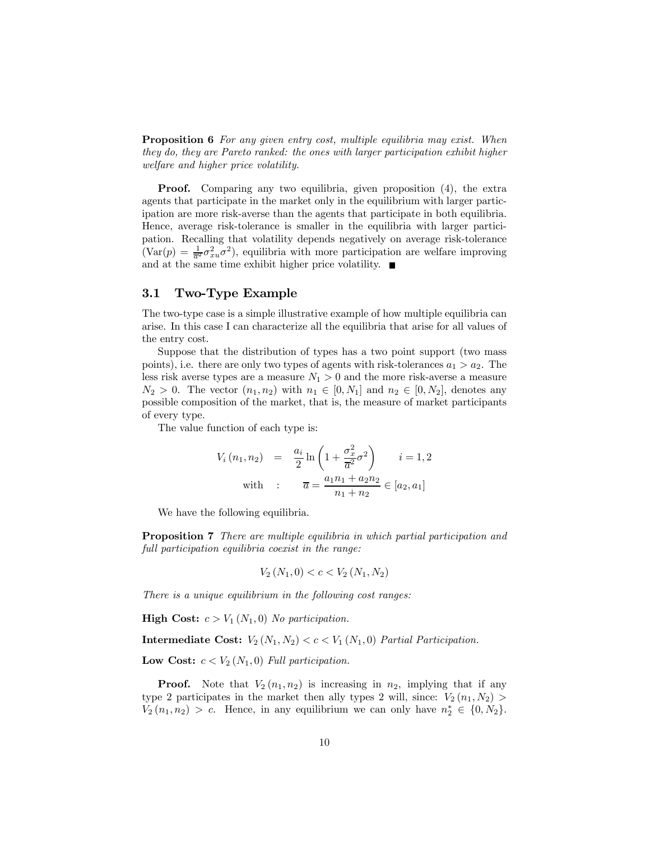**Proposition 6** For any given entry cost, multiple equilibria may exist. When they do, they are Pareto ranked: the ones with larger participation exhibit higher welfare and higher price volatility.

Proof. Comparing any two equilibria, given proposition (4), the extra agents that participate in the market only in the equilibrium with larger participation are more risk-averse than the agents that participate in both equilibria. Hence, average risk-tolerance is smaller in the equilibria with larger participation. Recalling that volatility depends negatively on average risk-tolerance  $(\text{Var}(p) = \frac{1}{a^2} \sigma_{xu}^2 \sigma^2)$ , equilibria with more participation are welfare improving and at the same time exhibit higher price volatility.  $\blacksquare$ 

### 3.1 Two-Type Example

The two-type case is a simple illustrative example of how multiple equilibria can arise. In this case I can characterize all the equilibria that arise for all values of the entry cost.

Suppose that the distribution of types has a two point support (two mass points), i.e. there are only two types of agents with risk-tolerances  $a_1 > a_2$ . The less risk averse types are a measure  $N_1 > 0$  and the more risk-averse a measure  $N_2 > 0$ . The vector  $(n_1, n_2)$  with  $n_1 \in [0, N_1]$  and  $n_2 \in [0, N_2]$ , denotes any possible composition of the market, that is, the measure of market participants of every type.

The value function of each type is:

$$
V_i(n_1, n_2) = \frac{a_i}{2} \ln \left( 1 + \frac{\sigma_x^2}{\overline{a}^2} \sigma^2 \right) \qquad i = 1, 2
$$
  
with 
$$
\overline{a} = \frac{a_1 n_1 + a_2 n_2}{n_1 + n_2} \in [a_2, a_1]
$$

We have the following equilibria.

Proposition 7 There are multiple equilibria in which partial participation and full participation equilibria coexist in the range:

$$
V_2\left(N_1,0\right) < c < V_2\left(N_1,N_2\right)
$$

There is a unique equilibrium in the following cost ranges:

**High Cost:**  $c > V_1 (N_1, 0)$  No participation.

**Intermediate Cost:**  $V_2(N_1, N_2) < c < V_1(N_1, 0)$  *Partial Participation.* 

Low Cost:  $c < V_2(N_1, 0)$  Full participation.

**Proof.** Note that  $V_2(n_1, n_2)$  is increasing in  $n_2$ , implying that if any type 2 participates in the market then ally types 2 will, since:  $V_2(n_1, N_2)$  $V_2(n_1, n_2) > c$ . Hence, in any equilibrium we can only have  $n_2^* \in \{0, N_2\}$ .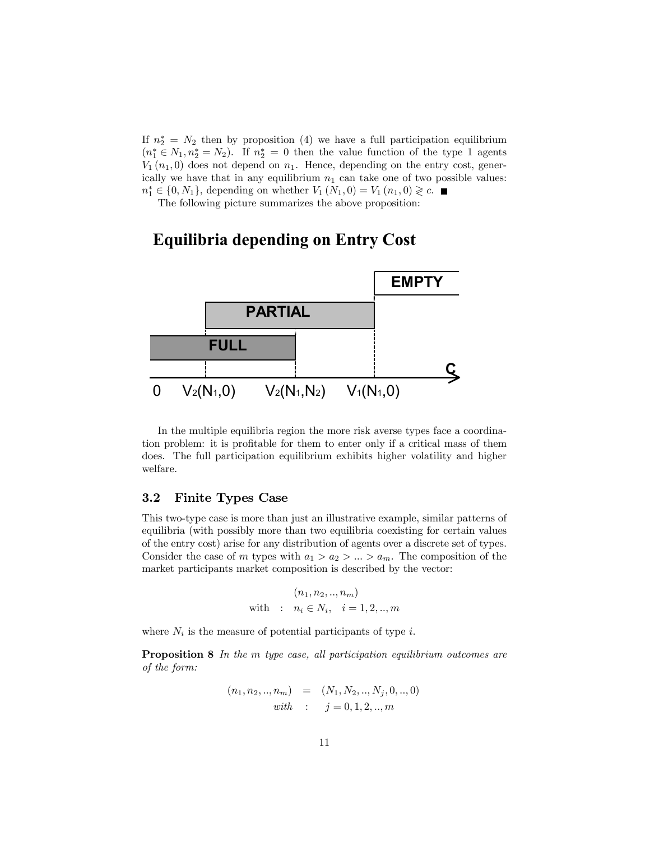If  $n_2^* = N_2$  then by proposition (4) we have a full participation equilibrium  $(n_1^* \in N_1, n_2^* = N_2)$ . If  $n_2^* = 0$  then the value function of the type 1 agents  $V_1(n_1, 0)$  does not depend on  $n_1$ . Hence, depending on the entry cost, generically we have that in any equilibrium  $n_1$  can take one of two possible values:  $n_1^* \in \{0, N_1\}$ , depending on whether  $V_1(N_1, 0) = V_1(n_1, 0) \ge c$ .

The following picture summarizes the above proposition:

# **Equilibria depending on Entry Cost**



In the multiple equilibria region the more risk averse types face a coordination problem: it is profitable for them to enter only if a critical mass of them does. The full participation equilibrium exhibits higher volatility and higher welfare.

### 3.2 Finite Types Case

This two-type case is more than just an illustrative example, similar patterns of equilibria (with possibly more than two equilibria coexisting for certain values of the entry cost) arise for any distribution of agents over a discrete set of types. Consider the case of m types with  $a_1 > a_2 > ... > a_m$ . The composition of the market participants market composition is described by the vector:

$$
(n_1, n_2, ..., n_m)
$$
  
with :  $n_i \in N_i$ ,  $i = 1, 2, ..., m$ 

where  $N_i$  is the measure of potential participants of type i.

Proposition 8 In the m type case, all participation equilibrium outcomes are of the form:

$$
(n_1, n_2, ..., n_m) = (N_1, N_2, ..., N_j, 0, ..., 0)
$$
  
with :  $j = 0, 1, 2, ..., m$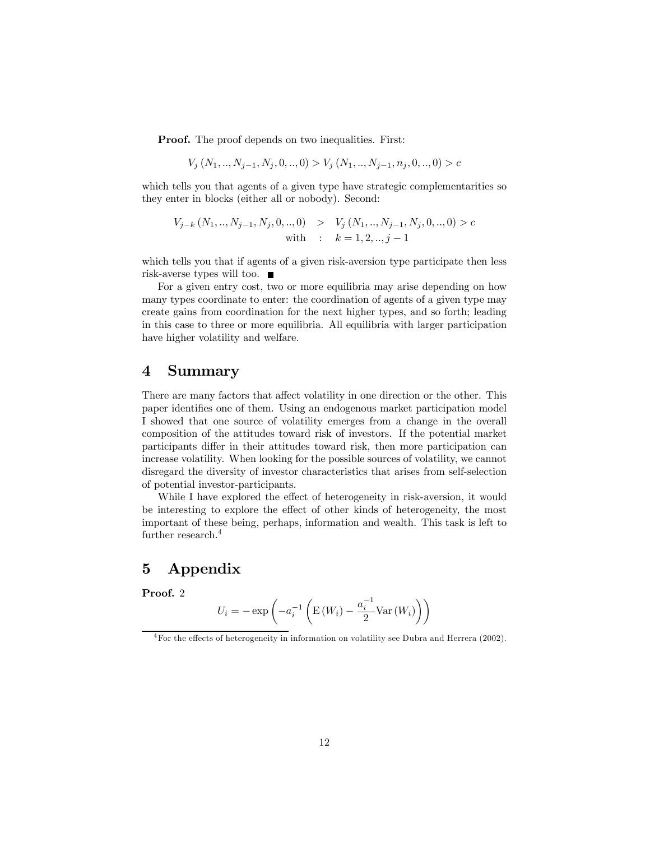Proof. The proof depends on two inequalities. First:

$$
V_j (N_1, ..., N_{j-1}, N_j, 0, ..., 0) > V_j (N_1, ..., N_{j-1}, n_j, 0, ..., 0) > c
$$

which tells you that agents of a given type have strategic complementarities so they enter in blocks (either all or nobody). Second:

$$
V_{j-k} (N_1,..,N_{j-1},N_j,0,..,0) > V_j (N_1,..,N_{j-1},N_j,0,..,0) > c
$$
  
with :  $k = 1,2,..,j-1$ 

which tells you that if agents of a given risk-aversion type participate then less risk-averse types will too.

For a given entry cost, two or more equilibria may arise depending on how many types coordinate to enter: the coordination of agents of a given type may create gains from coordination for the next higher types, and so forth; leading in this case to three or more equilibria. All equilibria with larger participation have higher volatility and welfare.

### 4 Summary

There are many factors that affect volatility in one direction or the other. This paper identifies one of them. Using an endogenous market participation model I showed that one source of volatility emerges from a change in the overall composition of the attitudes toward risk of investors. If the potential market participants differ in their attitudes toward risk, then more participation can increase volatility. When looking for the possible sources of volatility, we cannot disregard the diversity of investor characteristics that arises from self-selection of potential investor-participants.

While I have explored the effect of heterogeneity in risk-aversion, it would be interesting to explore the effect of other kinds of heterogeneity, the most important of these being, perhaps, information and wealth. This task is left to further research.<sup>4</sup>

# 5 Appendix

Proof. 2

$$
U_i = -\exp\left(-a_i^{-1}\left(\mathbb{E}\left(W_i\right) - \frac{a_i^{-1}}{2}\text{Var}\left(W_i\right)\right)\right)
$$

<sup>4</sup>For the effects of heterogeneity in information on volatility see Dubra and Herrera (2002).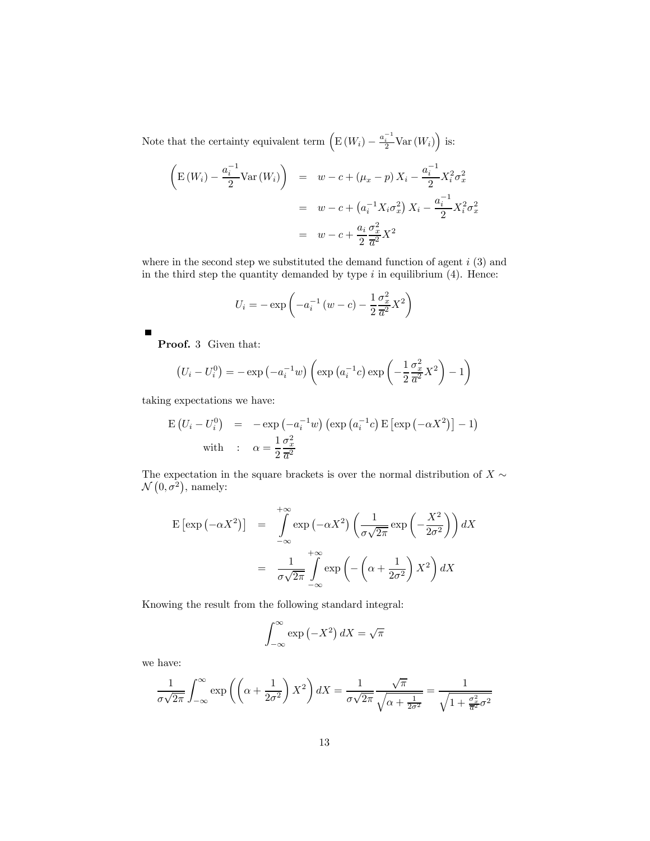Note that the certainty equivalent term  $\left(\mathrm{E}(W_i) - \frac{a_i^{-1}}{2} \mathrm{Var}(W_i)\right)$  is:

$$
\begin{aligned}\n\left(\mathcal{E}\left(W_{i}\right) - \frac{a_{i}^{-1}}{2} \text{Var}\left(W_{i}\right)\right) &= w - c + \left(\mu_{x} - p\right) X_{i} - \frac{a_{i}^{-1}}{2} X_{i}^{2} \sigma_{x}^{2} \\
&= w - c + \left(a_{i}^{-1} X_{i} \sigma_{x}^{2}\right) X_{i} - \frac{a_{i}^{-1}}{2} X_{i}^{2} \sigma_{x}^{2} \\
&= w - c + \frac{a_{i}}{2} \frac{\sigma_{x}^{2}}{\overline{a}^{2}} X^{2}\n\end{aligned}
$$

where in the second step we substituted the demand function of agent  $i(3)$  and in the third step the quantity demanded by type  $i$  in equilibrium (4). Hence:

$$
U_i = -\exp\left(-a_i^{-1}(w-c) - \frac{1}{2}\frac{\sigma_x^2}{\overline{a}^2}X^2\right)
$$

Proof. 3 Given that:

$$
(U_i - U_i^0) = -\exp(-a_i^{-1}w)\left(\exp(a_i^{-1}c)\exp\left(-\frac{1}{2}\frac{\sigma_x^2}{\overline{a}^2}X^2\right) - 1\right)
$$

taking expectations we have:

$$
E(U_i - U_i^0) = -\exp(-a_i^{-1}w) (\exp(a_i^{-1}c) E [\exp(-\alpha X^2)] - 1)
$$
  
with 
$$
\alpha = \frac{1}{2} \frac{\sigma_x^2}{\overline{a}^2}
$$

The expectation in the square brackets is over the normal distribution of  $X\sim$  $\mathcal{N}(0, \sigma^2)$ , namely:

$$
\begin{aligned} \mathbb{E}\left[\exp\left(-\alpha X^2\right)\right] &= \int_{-\infty}^{+\infty} \exp\left(-\alpha X^2\right) \left(\frac{1}{\sigma\sqrt{2\pi}}\exp\left(-\frac{X^2}{2\sigma^2}\right)\right) dX \\ &= \frac{1}{\sigma\sqrt{2\pi}} \int_{-\infty}^{+\infty} \exp\left(-\left(\alpha + \frac{1}{2\sigma^2}\right)X^2\right) dX \end{aligned}
$$

Knowing the result from the following standard integral:

$$
\int_{-\infty}^{\infty} \exp\left(-X^2\right) dX = \sqrt{\pi}
$$

we have:

$$
\frac{1}{\sigma\sqrt{2\pi}}\int_{-\infty}^{\infty}\exp\left(\left(\alpha+\frac{1}{2\sigma^2}\right)X^2\right)dX = \frac{1}{\sigma\sqrt{2\pi}}\frac{\sqrt{\pi}}{\sqrt{\alpha+\frac{1}{2\sigma^2}}} = \frac{1}{\sqrt{1+\frac{\sigma^2}{\overline{a}^2}\sigma^2}}
$$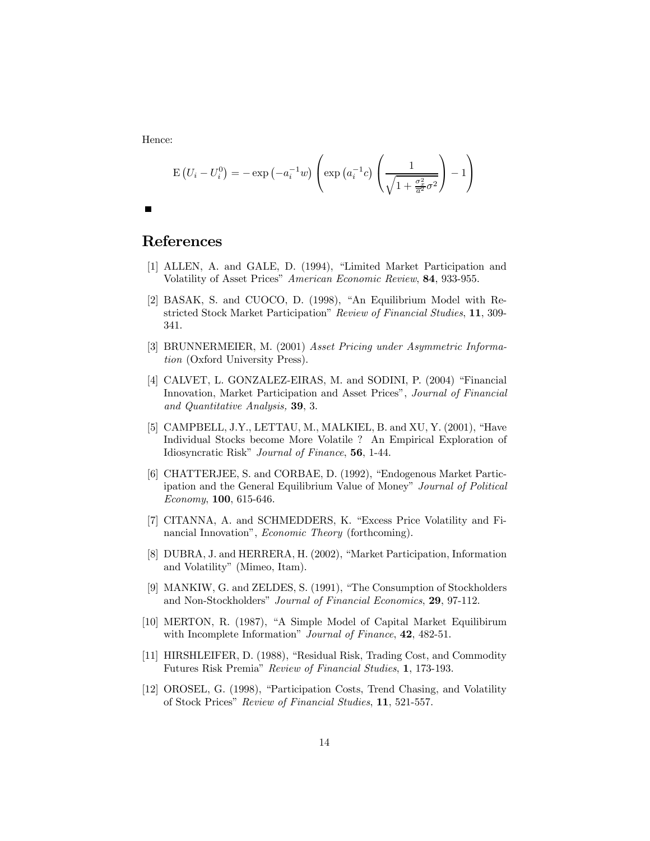Hence:

$$
E\left(U_i - U_i^0\right) = -\exp\left(-a_i^{-1}w\right)\left(\exp\left(a_i^{-1}c\right)\left(\frac{1}{\sqrt{1 + \frac{\sigma_x^2}{\overline{a}^2}\sigma^2}}\right) - 1\right)
$$

# References

- [1] ALLEN, A. and GALE, D. (1994), "Limited Market Participation and Volatility of Asset Prices" American Economic Review, 84, 933-955.
- [2] BASAK, S. and CUOCO, D. (1998), "An Equilibrium Model with Restricted Stock Market Participation" Review of Financial Studies, 11, 309- 341.
- [3] BRUNNERMEIER, M. (2001) Asset Pricing under Asymmetric Information (Oxford University Press).
- [4] CALVET, L. GONZALEZ-EIRAS, M. and SODINI, P. (2004) "Financial Innovation, Market Participation and Asset Prices", Journal of Financial and Quantitative Analysis, 39, 3.
- [5] CAMPBELL, J.Y., LETTAU, M., MALKIEL, B. and XU, Y. (2001), "Have Individual Stocks become More Volatile ? An Empirical Exploration of Idiosyncratic Risk" Journal of Finance, 56, 1-44.
- [6] CHATTERJEE, S. and CORBAE, D. (1992), "Endogenous Market Participation and the General Equilibrium Value of Money" Journal of Political Economy, 100, 615-646.
- [7] CITANNA, A. and SCHMEDDERS, K. "Excess Price Volatility and Financial Innovation", Economic Theory (forthcoming).
- [8] DUBRA, J. and HERRERA, H. (2002), "Market Participation, Information and Volatility" (Mimeo, Itam).
- [9] MANKIW, G. and ZELDES, S. (1991), "The Consumption of Stockholders and Non-Stockholders" Journal of Financial Economics, 29, 97-112.
- [10] MERTON, R. (1987), "A Simple Model of Capital Market Equilibirum with Incomplete Information" Journal of Finance, 42, 482-51.
- [11] HIRSHLEIFER, D. (1988), "Residual Risk, Trading Cost, and Commodity Futures Risk Premia" Review of Financial Studies, 1, 173-193.
- [12] OROSEL, G. (1998), "Participation Costs, Trend Chasing, and Volatility of Stock Prices" Review of Financial Studies, 11, 521-557.